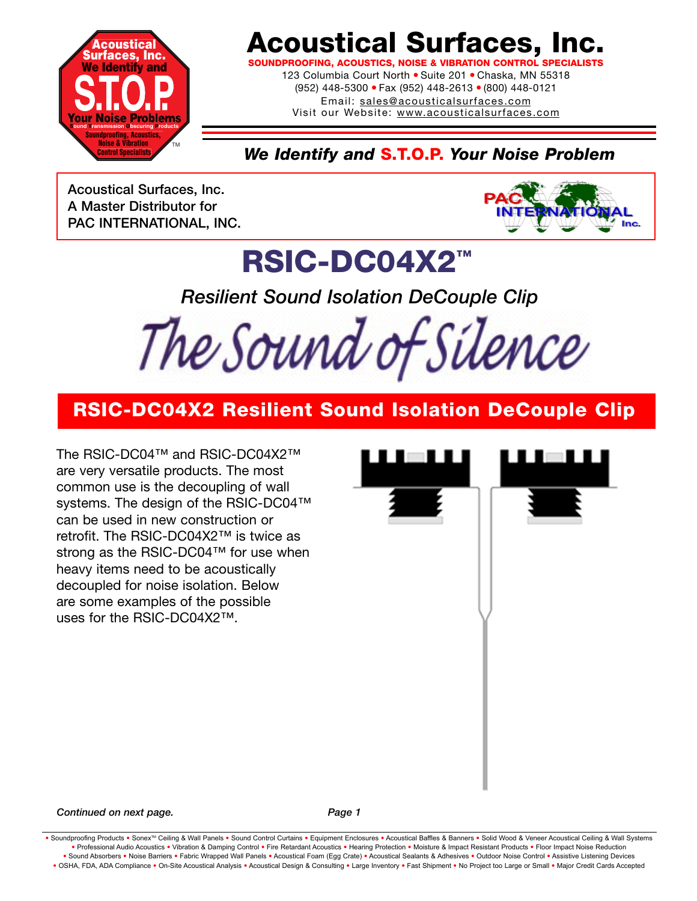

## **Acoustical Surfaces, Inc.**

**SOUNDPROOFING, ACOUSTICS, NOISE & VIBRATION CONTROL SPECIALISTS**

123 Columbia Court North · Suite 201 · Chaska, MN 55318 (952) 448-5300 ● Fax (952) 448-2613 ● (800) 448-0121 Email: sales@acousticalsurfaces.com

Visit our Website: www.acousticalsurfaces.com

*We Identify and* **S.T.O.P.** *Your Noise Problem*

**Acoustical Surfaces, Inc. A Master Distributor for PAC INTERNATIONAL, INC.**



## **RSIC-DC04X2™**

*Resilient Sound Isolation DeCouple Clip* 

The Sound of Silence

#### **RSIC-DC04X2 Resilient Sound Isolation DeCouple Clip**

The RSIC-DC04™ and RSIC-DC04X2™ are very versatile products. The most common use is the decoupling of wall systems. The design of the RSIC-DC04™ can be used in new construction or retrofit. The RSIC-DC04X2™ is twice as strong as the RSIC-DC04™ for use when heavy items need to be acoustically decoupled for noise isolation. Below are some examples of the possible uses for the RSIC-DC04X2™.

**Continued on next page.** Page 1

Soundproofing Products . Sonex™ Ceiling & Wall Panels . Sound Control Curtains . Equipment Enclosures . Acoustical Baffles & Banners . Solid Wood & Veneer Acoustical Ceiling & Wall Systems **•** Professional Audio Acoustics **•** Vibration & Damping Control **•** Fire Retardant Acoustics **•** Hearing Protection **•** Moisture & Impact Resistant Products **•** Floor Impact Noise Reduction . Sound Absorbers . Noise Barriers . Fabric Wrapped Wall Panels . Acoustical Foam (Egg Crate) . Acoustical Sealants & Adhesives . Outdoor Noise Control . Assistive Listening Devices . OSHA, FDA, ADA Compliance . On-Site Acoustical Analysis . Acoustical Design & Consulting . Large Inventory . Fast Shipment . No Project too Large or Small . Major Credit Cards Accepted